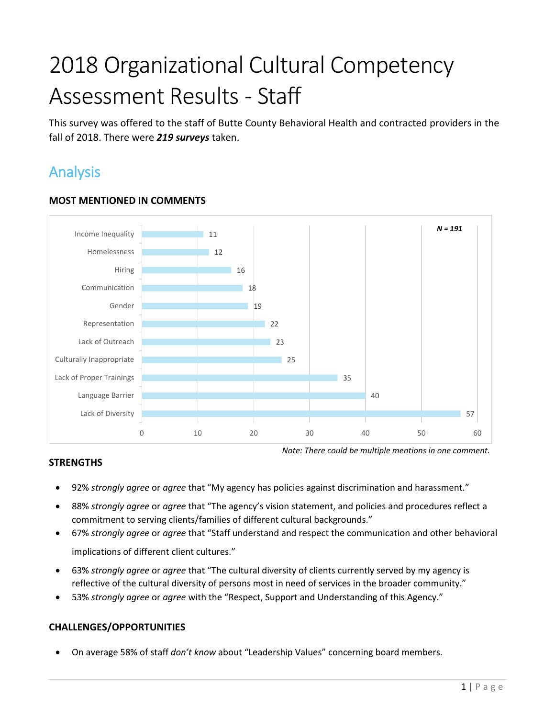# 2018 Organizational Cultural Competency Assessment Results - Staff

This survey was offered to the staff of Butte County Behavioral Health and contracted providers in the fall of 2018. There were *219 surveys* taken.

# Analysis



## **MOST MENTIONED IN COMMENTS**

### **STRENGTHS**

- *Note: There could be multiple mentions in one comment.*
- 92% *strongly agree* or *agree* that "My agency has policies against discrimination and harassment."
- 88% *strongly agree* or *agree* that "The agency's vision statement, and policies and procedures reflect a commitment to serving clients/families of different cultural backgrounds."
- 67% *strongly agree* or *agree* that "Staff understand and respect the communication and other behavioral implications of different client cultures."
- 63% *strongly agree* or *agree* that "The cultural diversity of clients currently served by my agency is reflective of the cultural diversity of persons most in need of services in the broader community."
- 53% *strongly agree* or *agree* with the "Respect, Support and Understanding of this Agency."

## **CHALLENGES/OPPORTUNITIES**

On average 58% of staff *don't know* about "Leadership Values" concerning board members.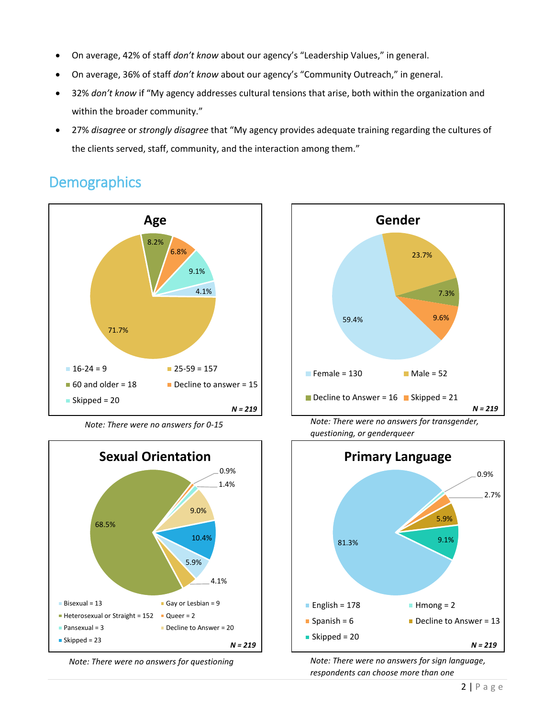- On average, 42% of staff *don't know* about our agency's "Leadership Values," in general.
- On average, 36% of staff *don't know* about our agency's "Community Outreach," in general.
- 32% *don't know* if "My agency addresses cultural tensions that arise, both within the organization and within the broader community."
- 27% *disagree* or *strongly disagree* that "My agency provides adequate training regarding the cultures of the clients served, staff, community, and the interaction among them."

# **Demographics**









*Note: There were no answers for 0-15 Note: There were no answers for transgender, questioning, or genderqueer*



*Note: There were no answers for questioning Note: There were no answers for sign language, respondents can choose more than one*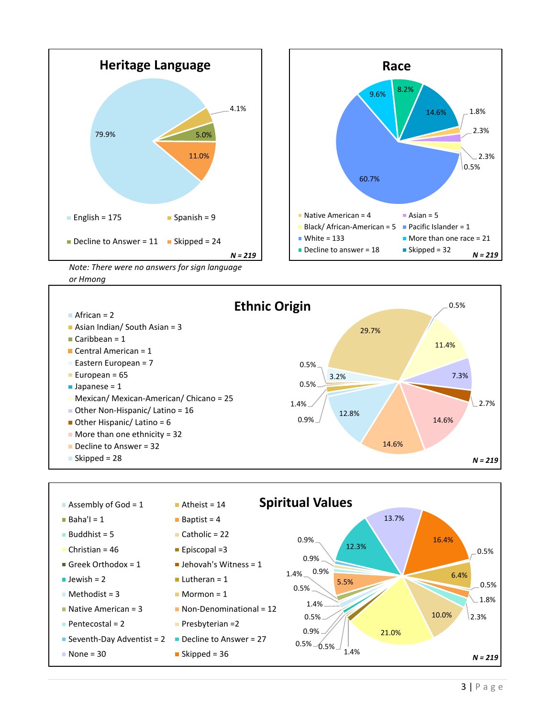



*Note: There were no answers for sign language or Hmong*



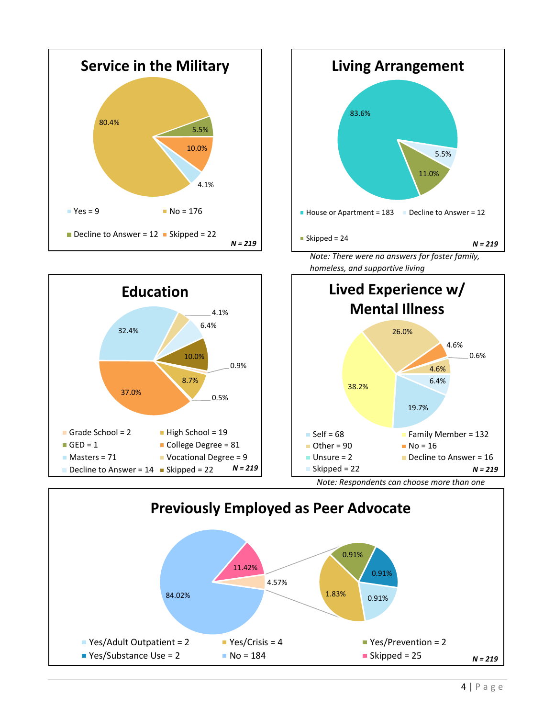





4 | P a g e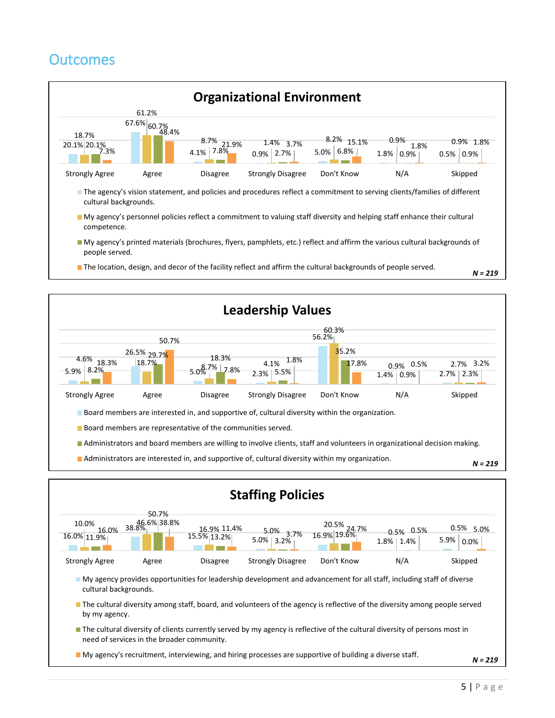# **Outcomes**





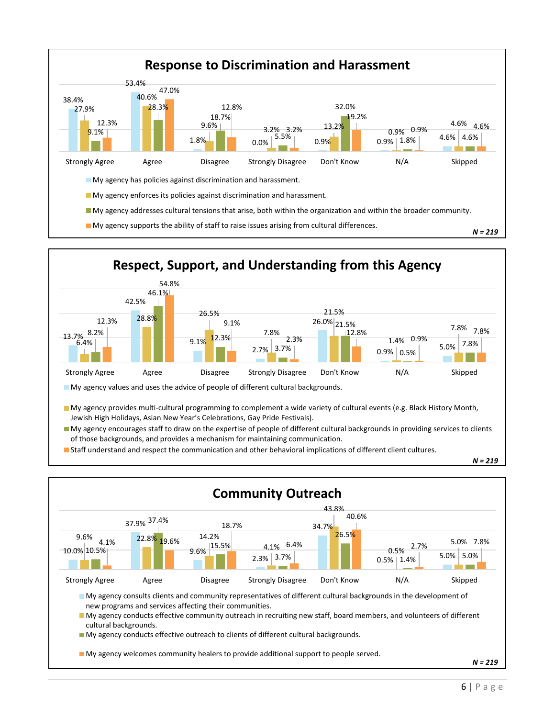



- My agency provides multi-cultural programming to complement a wide variety of cultural events (e.g. Black History Month, Jewish High Holidays, Asian New Year's Celebrations, Gay Pride Festivals).
- My agency encourages staff to draw on the expertise of people of different cultural backgrounds in providing services to clients of those backgrounds, and provides a mechanism for maintaining communication.
- Staff understand and respect the communication and other behavioral implications of different client cultures.

*N = 219*

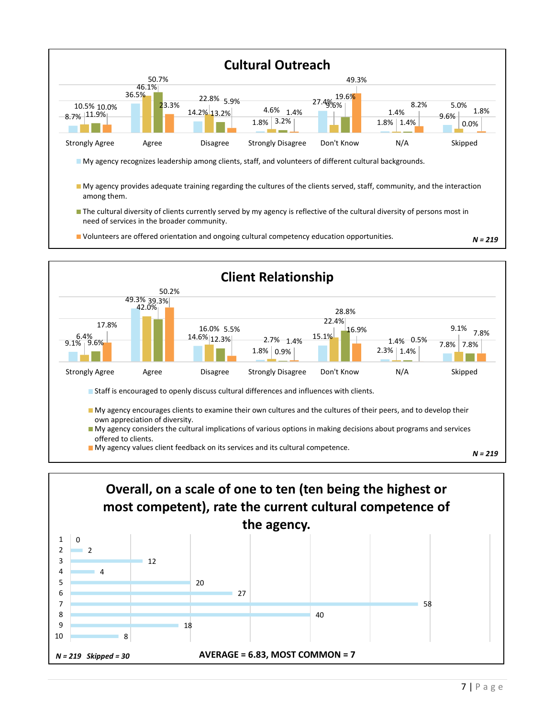



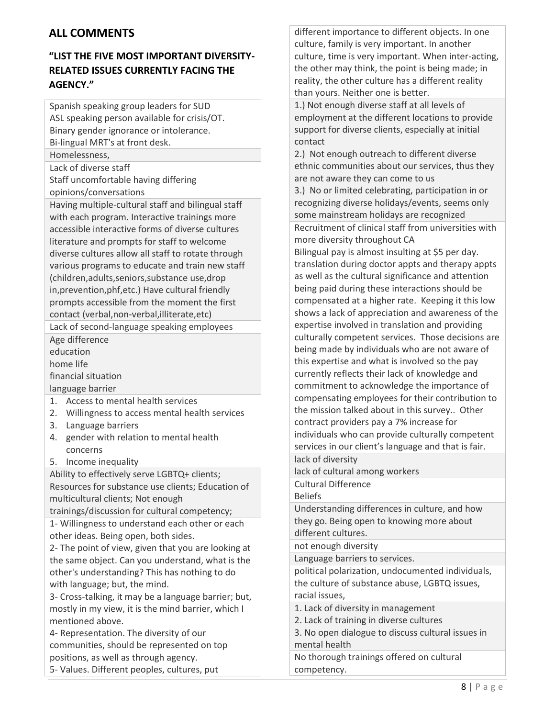# **ALL COMMENTS**

# **"LIST THE FIVE MOST IMPORTANT DIVERSITY-RELATED ISSUES CURRENTLY FACING THE AGENCY."**

Spanish speaking group leaders for SUD ASL speaking person available for crisis/OT. Binary gender ignorance or intolerance. Bi-lingual MRT's at front desk.

Homelessness,

Lack of diverse staff

Staff uncomfortable having differing opinions/conversations

Having multiple-cultural staff and bilingual staff with each program. Interactive trainings more accessible interactive forms of diverse cultures literature and prompts for staff to welcome diverse cultures allow all staff to rotate through various programs to educate and train new staff (children,adults,seniors,substance use,drop in,prevention,phf,etc.) Have cultural friendly prompts accessible from the moment the first contact (verbal,non-verbal,illiterate,etc)

Lack of second-language speaking employees Age difference

education home life

financial situation

language barrier

- 1. Access to mental health services
- 2. Willingness to access mental health services
- 3. Language barriers
- 4. gender with relation to mental health concerns
- 5. Income inequality

Ability to effectively serve LGBTQ+ clients; Resources for substance use clients; Education of multicultural clients; Not enough

trainings/discussion for cultural competency;

1- Willingness to understand each other or each other ideas. Being open, both sides.

2- The point of view, given that you are looking at the same object. Can you understand, what is the other's understanding? This has nothing to do with language; but, the mind.

3- Cross-talking, it may be a language barrier; but, mostly in my view, it is the mind barrier, which I mentioned above.

4- Representation. The diversity of our communities, should be represented on top positions, as well as through agency.

different importance to different objects. In one culture, family is very important. In another culture, time is very important. When inter-acting, the other may think, the point is being made; in reality, the other culture has a different reality than yours. Neither one is better.

1.) Not enough diverse staff at all levels of employment at the different locations to provide support for diverse clients, especially at initial contact

2.) Not enough outreach to different diverse ethnic communities about our services, thus they are not aware they can come to us

3.) No or limited celebrating, participation in or recognizing diverse holidays/events, seems only some mainstream holidays are recognized Recruitment of clinical staff from universities with

more diversity throughout CA Bilingual pay is almost insulting at \$5 per day. translation during doctor appts and therapy appts as well as the cultural significance and attention being paid during these interactions should be compensated at a higher rate. Keeping it this low shows a lack of appreciation and awareness of the expertise involved in translation and providing culturally competent services. Those decisions are being made by individuals who are not aware of this expertise and what is involved so the pay currently reflects their lack of knowledge and commitment to acknowledge the importance of compensating employees for their contribution to the mission talked about in this survey.. Other contract providers pay a 7% increase for individuals who can provide culturally competent services in our client's language and that is fair.

lack of diversity

lack of cultural among workers

Cultural Difference

Beliefs

Understanding differences in culture, and how they go. Being open to knowing more about different cultures.

not enough diversity

Language barriers to services.

political polarization, undocumented individuals, the culture of substance abuse, LGBTQ issues, racial issues,

1. Lack of diversity in management

2. Lack of training in diverse cultures

3. No open dialogue to discuss cultural issues in mental health

No thorough trainings offered on cultural competency.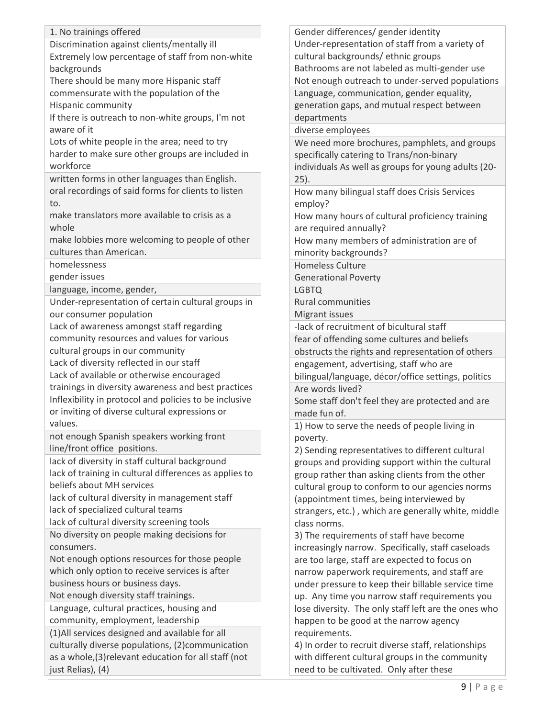| 1. No trainings offered                                                             |
|-------------------------------------------------------------------------------------|
| Discrimination against clients/mentally ill                                         |
| Extremely low percentage of staff from non-white                                    |
| backgrounds                                                                         |
| There should be many more Hispanic staff                                            |
| commensurate with the population of the                                             |
| Hispanic community                                                                  |
| If there is outreach to non-white groups, I'm not<br>aware of it                    |
| Lots of white people in the area; need to try                                       |
| harder to make sure other groups are included in                                    |
| workforce                                                                           |
| written forms in other languages than English.                                      |
| oral recordings of said forms for clients to listen                                 |
| to.                                                                                 |
| make translators more available to crisis as a                                      |
| whole                                                                               |
| make lobbies more welcoming to people of other                                      |
| cultures than American.                                                             |
| homelessness                                                                        |
| gender issues                                                                       |
| language, income, gender,                                                           |
| Under-representation of certain cultural groups in                                  |
| our consumer population                                                             |
| Lack of awareness amongst staff regarding                                           |
| community resources and values for various                                          |
| cultural groups in our community                                                    |
| Lack of diversity reflected in our staff                                            |
| Lack of available or otherwise encouraged                                           |
| trainings in diversity awareness and best practices                                 |
| Inflexibility in protocol and policies to be inclusive                              |
| or inviting of diverse cultural expressions or                                      |
| values.                                                                             |
| not enough Spanish speakers working front                                           |
| line/front office positions.                                                        |
| lack of diversity in staff cultural background                                      |
| lack of training in cultural differences as applies to<br>beliefs about MH services |
| lack of cultural diversity in management staff                                      |
| lack of specialized cultural teams                                                  |
| lack of cultural diversity screening tools                                          |
| No diversity on people making decisions for                                         |
| consumers.                                                                          |
| Not enough options resources for those people                                       |
| which only option to receive services is after                                      |
| business hours or business days.                                                    |
| Not enough diversity staff trainings.                                               |
| Language, cultural practices, housing and                                           |
| community, employment, leadership                                                   |
| (1) All services designed and available for all                                     |
| culturally diverse populations, (2) communication                                   |
| as a whole, (3) relevant education for all staff (not                               |
| just Relias), (4)                                                                   |
|                                                                                     |

Gender differences/ gender identity Under-representation of staff from a variety of cultural backgrounds/ ethnic groups Bathrooms are not labeled as multi-gender use Not enough outreach to under-served populations Language, communication, gender equality, generation gaps, and mutual respect between departments diverse employees We need more brochures, pamphlets, and groups specifically catering to Trans/non-binary individuals As well as groups for young adults (20- 25). How many bilingual staff does Crisis Services employ? How many hours of cultural proficiency training are required annually? How many members of administration are of minority backgrounds? Homeless Culture Generational Poverty LGBTQ Rural communities Migrant issues -lack of recruitment of bicultural staff fear of offending some cultures and beliefs obstructs the rights and representation of others engagement, advertising, staff who are bilingual/language, décor/office settings, politics Are words lived? Some staff don't feel they are protected and are made fun of. 1) How to serve the needs of people living in poverty. 2) Sending representatives to different cultural groups and providing support within the cultural group rather than asking clients from the other cultural group to conform to our agencies norms (appointment times, being interviewed by strangers, etc.) , which are generally white, middle class norms. 3) The requirements of staff have become increasingly narrow. Specifically, staff caseloads are too large, staff are expected to focus on narrow paperwork requirements, and staff are under pressure to keep their billable service time up. Any time you narrow staff requirements you lose diversity. The only staff left are the ones who happen to be good at the narrow agency requirements.

4) In order to recruit diverse staff, relationships with different cultural groups in the community need to be cultivated. Only after these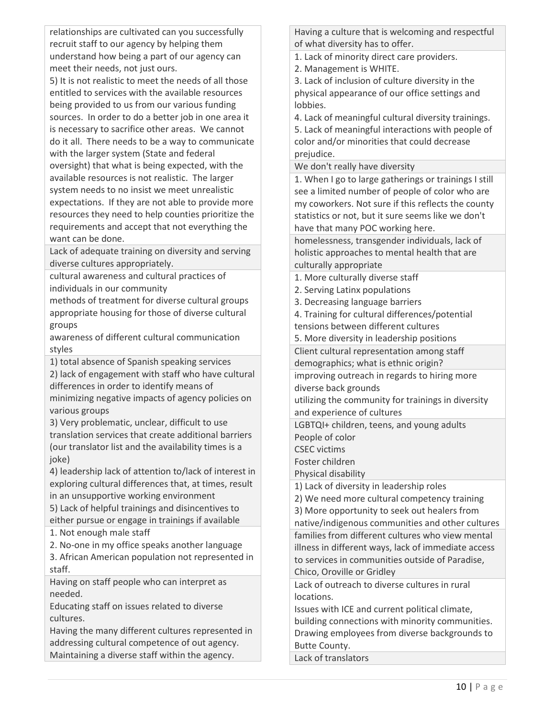relationships are cultivated can you successfully recruit staff to our agency by helping them understand how being a part of our agency can meet their needs, not just ours.

5) It is not realistic to meet the needs of all those entitled to services with the available resources being provided to us from our various funding sources. In order to do a better job in one area it is necessary to sacrifice other areas. We cannot do it all. There needs to be a way to communicate with the larger system (State and federal oversight) that what is being expected, with the available resources is not realistic. The larger system needs to no insist we meet unrealistic expectations. If they are not able to provide more resources they need to help counties prioritize the requirements and accept that not everything the want can be done.

Lack of adequate training on diversity and serving diverse cultures appropriately.

cultural awareness and cultural practices of individuals in our community

methods of treatment for diverse cultural groups appropriate housing for those of diverse cultural groups

awareness of different cultural communication styles

1) total absence of Spanish speaking services

2) lack of engagement with staff who have cultural differences in order to identify means of

minimizing negative impacts of agency policies on various groups

3) Very problematic, unclear, difficult to use translation services that create additional barriers (our translator list and the availability times is a joke)

4) leadership lack of attention to/lack of interest in exploring cultural differences that, at times, result in an unsupportive working environment

5) Lack of helpful trainings and disincentives to either pursue or engage in trainings if available

1. Not enough male staff

2. No-one in my office speaks another language

3. African American population not represented in staff.

Having on staff people who can interpret as needed.

Educating staff on issues related to diverse cultures.

Having the many different cultures represented in addressing cultural competence of out agency. Maintaining a diverse staff within the agency.

Having a culture that is welcoming and respectful of what diversity has to offer.

1. Lack of minority direct care providers.

2. Management is WHITE.

3. Lack of inclusion of culture diversity in the physical appearance of our office settings and lobbies.

4. Lack of meaningful cultural diversity trainings. 5. Lack of meaningful interactions with people of color and/or minorities that could decrease prejudice.

We don't really have diversity

1. When I go to large gatherings or trainings I still see a limited number of people of color who are my coworkers. Not sure if this reflects the county statistics or not, but it sure seems like we don't have that many POC working here.

homelessness, transgender individuals, lack of holistic approaches to mental health that are culturally appropriate

1. More culturally diverse staff

- 2. Serving Latinx populations
- 3. Decreasing language barriers

4. Training for cultural differences/potential

tensions between different cultures

5. More diversity in leadership positions

Client cultural representation among staff

demographics; what is ethnic origin?

improving outreach in regards to hiring more diverse back grounds

utilizing the community for trainings in diversity and experience of cultures

LGBTQI+ children, teens, and young adults

People of color

CSEC victims

Foster children

Physical disability

1) Lack of diversity in leadership roles

2) We need more cultural competency training

3) More opportunity to seek out healers from

native/indigenous communities and other cultures families from different cultures who view mental illness in different ways, lack of immediate access to services in communities outside of Paradise, Chico, Oroville or Gridley

Lack of outreach to diverse cultures in rural locations.

Issues with ICE and current political climate, building connections with minority communities. Drawing employees from diverse backgrounds to Butte County.

Lack of translators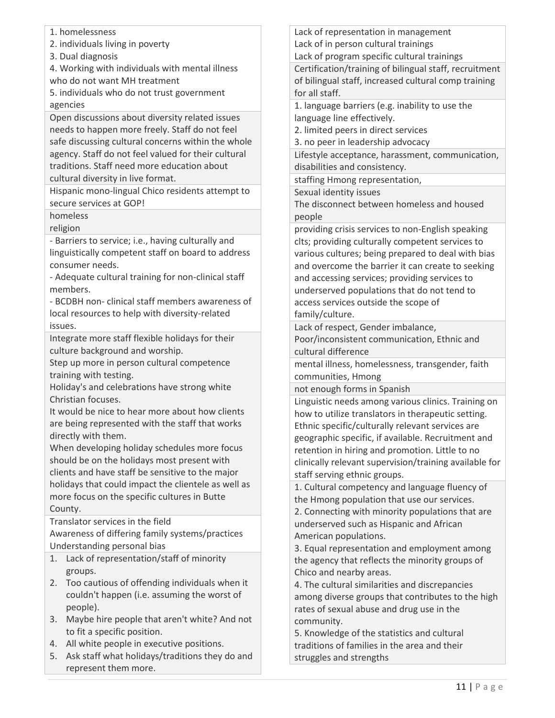- 1. homelessness
- 2. individuals living in poverty
- 3. Dual diagnosis

4. Working with individuals with mental illness who do not want MH treatment

5. individuals who do not trust government agencies

Open discussions about diversity related issues needs to happen more freely. Staff do not feel safe discussing cultural concerns within the whole agency. Staff do not feel valued for their cultural traditions. Staff need more education about cultural diversity in live format.

Hispanic mono-lingual Chico residents attempt to secure services at GOP!

homeless

religion

- Barriers to service; i.e., having culturally and linguistically competent staff on board to address consumer needs.

- Adequate cultural training for non-clinical staff members.

- BCDBH non- clinical staff members awareness of local resources to help with diversity-related issues.

Integrate more staff flexible holidays for their culture background and worship.

Step up more in person cultural competence training with testing.

Holiday's and celebrations have strong white Christian focuses.

It would be nice to hear more about how clients are being represented with the staff that works directly with them.

When developing holiday schedules more focus should be on the holidays most present with clients and have staff be sensitive to the major holidays that could impact the clientele as well as more focus on the specific cultures in Butte County.

Translator services in the field Awareness of differing family systems/practices Understanding personal bias

- 1. Lack of representation/staff of minority groups.
- 2. Too cautious of offending individuals when it couldn't happen (i.e. assuming the worst of people).
- 3. Maybe hire people that aren't white? And not to fit a specific position.
- 4. All white people in executive positions.
- 5. Ask staff what holidays/traditions they do and represent them more.

Lack of representation in management Lack of in person cultural trainings

Lack of program specific cultural trainings

Certification/training of bilingual staff, recruitment of bilingual staff, increased cultural comp training for all staff.

1. language barriers (e.g. inability to use the language line effectively.

2. limited peers in direct services

3. no peer in leadership advocacy

Lifestyle acceptance, harassment, communication, disabilities and consistency.

staffing Hmong representation,

Sexual identity issues

The disconnect between homeless and housed people

providing crisis services to non-English speaking clts; providing culturally competent services to various cultures; being prepared to deal with bias and overcome the barrier it can create to seeking and accessing services; providing services to underserved populations that do not tend to access services outside the scope of family/culture.

Lack of respect, Gender imbalance,

Poor/inconsistent communication, Ethnic and cultural difference

mental illness, homelessness, transgender, faith communities, Hmong

not enough forms in Spanish

Linguistic needs among various clinics. Training on how to utilize translators in therapeutic setting. Ethnic specific/culturally relevant services are geographic specific, if available. Recruitment and retention in hiring and promotion. Little to no clinically relevant supervision/training available for staff serving ethnic groups.

1. Cultural competency and language fluency of the Hmong population that use our services. 2. Connecting with minority populations that are underserved such as Hispanic and African American populations.

3. Equal representation and employment among the agency that reflects the minority groups of Chico and nearby areas.

4. The cultural similarities and discrepancies among diverse groups that contributes to the high rates of sexual abuse and drug use in the community.

5. Knowledge of the statistics and cultural traditions of families in the area and their struggles and strengths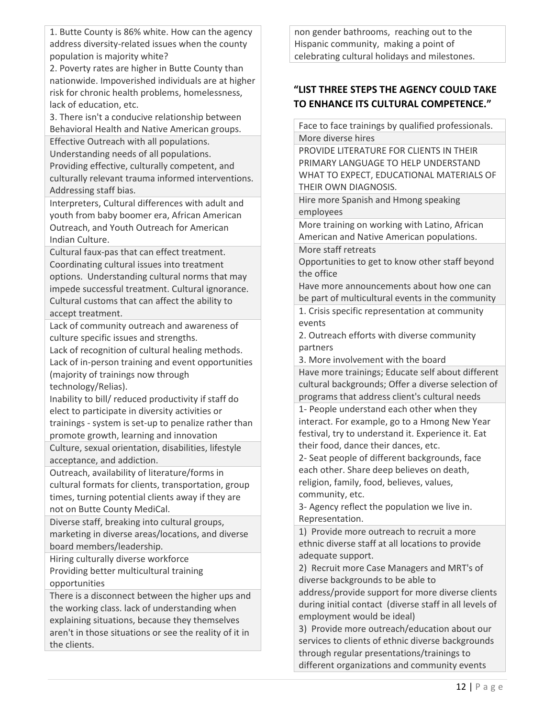1. Butte County is 86% white. How can the agency address diversity-related issues when the county population is majority white?

2. Poverty rates are higher in Butte County than nationwide. Impoverished individuals are at higher risk for chronic health problems, homelessness, lack of education, etc.

3. There isn't a conducive relationship between Behavioral Health and Native American groups.

Effective Outreach with all populations. Understanding needs of all populations. Providing effective, culturally competent, and culturally relevant trauma informed interventions. Addressing staff bias.

Interpreters, Cultural differences with adult and youth from baby boomer era, African American Outreach, and Youth Outreach for American Indian Culture.

Cultural faux-pas that can effect treatment. Coordinating cultural issues into treatment options. Understanding cultural norms that may impede successful treatment. Cultural ignorance. Cultural customs that can affect the ability to accept treatment.

Lack of community outreach and awareness of culture specific issues and strengths.

Lack of recognition of cultural healing methods. Lack of in-person training and event opportunities (majority of trainings now through technology/Relias).

Inability to bill/ reduced productivity if staff do elect to participate in diversity activities or trainings - system is set-up to penalize rather than promote growth, learning and innovation

Culture, sexual orientation, disabilities, lifestyle acceptance, and addiction.

Outreach, availability of literature/forms in cultural formats for clients, transportation, group times, turning potential clients away if they are not on Butte County MediCal.

Diverse staff, breaking into cultural groups, marketing in diverse areas/locations, and diverse board members/leadership.

Hiring culturally diverse workforce Providing better multicultural training opportunities

There is a disconnect between the higher ups and the working class. lack of understanding when explaining situations, because they themselves aren't in those situations or see the reality of it in the clients.

non gender bathrooms, reaching out to the Hispanic community, making a point of celebrating cultural holidays and milestones.

# **"LIST THREE STEPS THE AGENCY COULD TAKE TO ENHANCE ITS CULTURAL COMPETENCE."**

Face to face trainings by qualified professionals. More diverse hires

PROVIDE LITERATURE FOR CLIENTS IN THEIR PRIMARY LANGUAGE TO HELP UNDERSTAND WHAT TO EXPECT, EDUCATIONAL MATERIALS OF THEIR OWN DIAGNOSIS.

Hire more Spanish and Hmong speaking employees

More training on working with Latino, African American and Native American populations.

More staff retreats Opportunities to get to know other staff beyond the office

Have more announcements about how one can be part of multicultural events in the community

1. Crisis specific representation at community events

2. Outreach efforts with diverse community partners

3. More involvement with the board

Have more trainings; Educate self about different cultural backgrounds; Offer a diverse selection of programs that address client's cultural needs

1- People understand each other when they interact. For example, go to a Hmong New Year festival, try to understand it. Experience it. Eat their food, dance their dances, etc.

2- Seat people of different backgrounds, face each other. Share deep believes on death, religion, family, food, believes, values, community, etc.

3- Agency reflect the population we live in. Representation.

1) Provide more outreach to recruit a more ethnic diverse staff at all locations to provide adequate support.

2) Recruit more Case Managers and MRT's of diverse backgrounds to be able to address/provide support for more diverse clients during initial contact (diverse staff in all levels of

employment would be ideal)

3) Provide more outreach/education about our services to clients of ethnic diverse backgrounds through regular presentations/trainings to different organizations and community events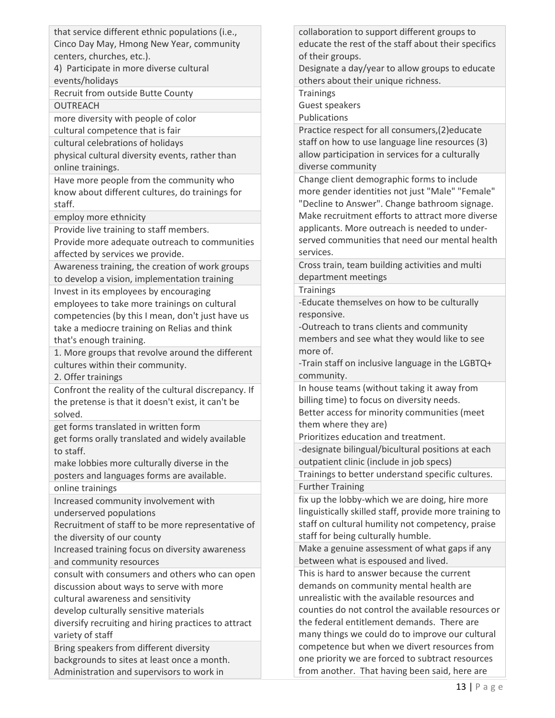that service different ethnic populations (i.e., Cinco Day May, Hmong New Year, community centers, churches, etc.).

4) Participate in more diverse cultural events/holidays

Recruit from outside Butte County **OUTREACH** 

more diversity with people of color

cultural competence that is fair

cultural celebrations of holidays

physical cultural diversity events, rather than online trainings.

Have more people from the community who know about different cultures, do trainings for staff.

employ more ethnicity

Provide live training to staff members.

Provide more adequate outreach to communities affected by services we provide.

Awareness training, the creation of work groups to develop a vision, implementation training

Invest in its employees by encouraging employees to take more trainings on cultural competencies (by this I mean, don't just have us take a mediocre training on Relias and think that's enough training.

1. More groups that revolve around the different cultures within their community.

2. Offer trainings

Confront the reality of the cultural discrepancy. If the pretense is that it doesn't exist, it can't be solved.

get forms translated in written form

get forms orally translated and widely available to staff.

make lobbies more culturally diverse in the posters and languages forms are available.

online trainings

Increased community involvement with underserved populations

Recruitment of staff to be more representative of the diversity of our county

Increased training focus on diversity awareness and community resources

consult with consumers and others who can open discussion about ways to serve with more

cultural awareness and sensitivity

develop culturally sensitive materials

diversify recruiting and hiring practices to attract variety of staff

Bring speakers from different diversity backgrounds to sites at least once a month. Administration and supervisors to work in

collaboration to support different groups to educate the rest of the staff about their specifics of their groups.

Designate a day/year to allow groups to educate others about their unique richness.

**Trainings** 

Guest speakers

Publications

Practice respect for all consumers,(2)educate staff on how to use language line resources (3) allow participation in services for a culturally diverse community

Change client demographic forms to include more gender identities not just "Male" "Female" "Decline to Answer". Change bathroom signage. Make recruitment efforts to attract more diverse applicants. More outreach is needed to underserved communities that need our mental health services.

Cross train, team building activities and multi department meetings

**Trainings** 

-Educate themselves on how to be culturally responsive.

-Outreach to trans clients and community members and see what they would like to see more of.

-Train staff on inclusive language in the LGBTQ+ community.

In house teams (without taking it away from billing time) to focus on diversity needs. Better access for minority communities (meet them where they are)

Prioritizes education and treatment.

-designate bilingual/bicultural positions at each outpatient clinic (include in job specs)

Trainings to better understand specific cultures. Further Training

fix up the lobby-which we are doing, hire more linguistically skilled staff, provide more training to staff on cultural humility not competency, praise staff for being culturally humble.

Make a genuine assessment of what gaps if any between what is espoused and lived.

This is hard to answer because the current demands on community mental health are unrealistic with the available resources and counties do not control the available resources or the federal entitlement demands. There are many things we could do to improve our cultural competence but when we divert resources from one priority we are forced to subtract resources from another. That having been said, here are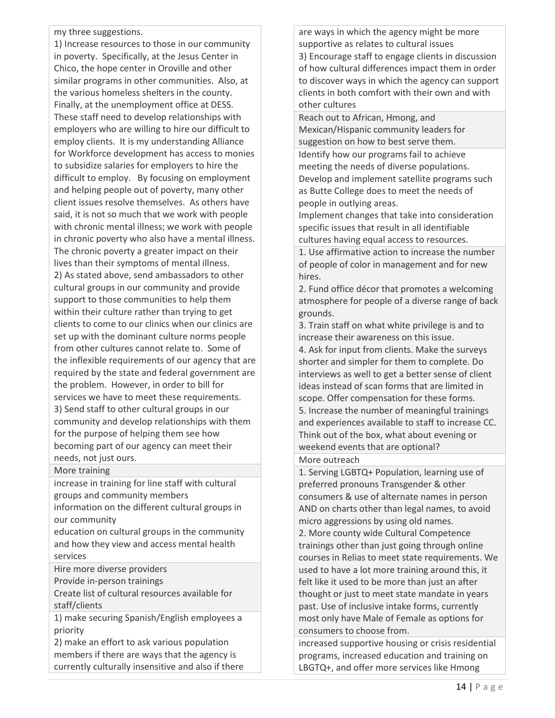#### my three suggestions.

1) Increase resources to those in our community in poverty. Specifically, at the Jesus Center in Chico, the hope center in Oroville and other similar programs in other communities. Also, at the various homeless shelters in the county. Finally, at the unemployment office at DESS. These staff need to develop relationships with employers who are willing to hire our difficult to employ clients. It is my understanding Alliance for Workforce development has access to monies to subsidize salaries for employers to hire the difficult to employ. By focusing on employment and helping people out of poverty, many other client issues resolve themselves. As others have said, it is not so much that we work with people with chronic mental illness; we work with people in chronic poverty who also have a mental illness. The chronic poverty a greater impact on their lives than their symptoms of mental illness. 2) As stated above, send ambassadors to other cultural groups in our community and provide support to those communities to help them within their culture rather than trying to get clients to come to our clinics when our clinics are set up with the dominant culture norms people from other cultures cannot relate to. Some of the inflexible requirements of our agency that are required by the state and federal government are the problem. However, in order to bill for services we have to meet these requirements. 3) Send staff to other cultural groups in our community and develop relationships with them for the purpose of helping them see how becoming part of our agency can meet their needs, not just ours.

#### More training

increase in training for line staff with cultural groups and community members

information on the different cultural groups in our community

education on cultural groups in the community and how they view and access mental health services

Hire more diverse providers

Provide in-person trainings

Create list of cultural resources available for staff/clients

1) make securing Spanish/English employees a priority

2) make an effort to ask various population members if there are ways that the agency is currently culturally insensitive and also if there

are ways in which the agency might be more supportive as relates to cultural issues 3) Encourage staff to engage clients in discussion of how cultural differences impact them in order to discover ways in which the agency can support clients in both comfort with their own and with other cultures

Reach out to African, Hmong, and Mexican/Hispanic community leaders for suggestion on how to best serve them. Identify how our programs fail to achieve meeting the needs of diverse populations. Develop and implement satellite programs such as Butte College does to meet the needs of people in outlying areas.

Implement changes that take into consideration specific issues that result in all identifiable cultures having equal access to resources.

1. Use affirmative action to increase the number of people of color in management and for new hires.

2. Fund office décor that promotes a welcoming atmosphere for people of a diverse range of back grounds.

3. Train staff on what white privilege is and to increase their awareness on this issue.

4. Ask for input from clients. Make the surveys shorter and simpler for them to complete. Do interviews as well to get a better sense of client ideas instead of scan forms that are limited in scope. Offer compensation for these forms. 5. Increase the number of meaningful trainings and experiences available to staff to increase CC. Think out of the box, what about evening or weekend events that are optional?

### More outreach

1. Serving LGBTQ+ Population, learning use of preferred pronouns Transgender & other consumers & use of alternate names in person AND on charts other than legal names, to avoid micro aggressions by using old names. 2. More county wide Cultural Competence trainings other than just going through online courses in Relias to meet state requirements. We used to have a lot more training around this, it felt like it used to be more than just an after thought or just to meet state mandate in years past. Use of inclusive intake forms, currently most only have Male of Female as options for consumers to choose from.

increased supportive housing or crisis residential programs, increased education and training on LBGTQ+, and offer more services like Hmong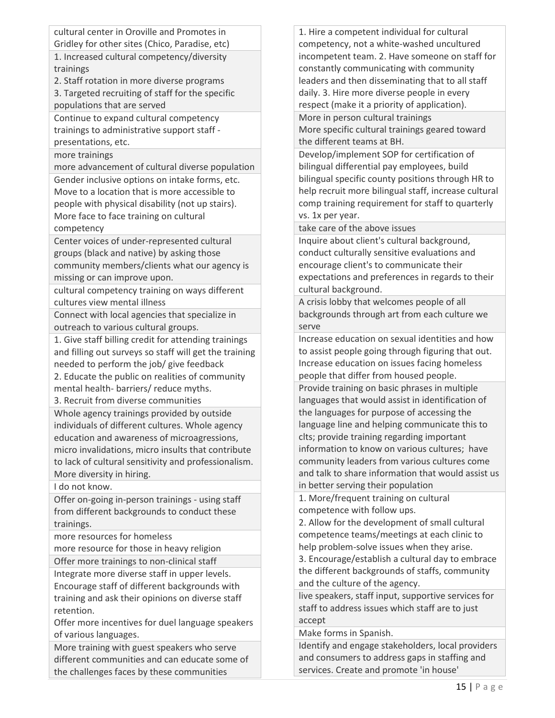cultural center in Oroville and Promotes in Gridley for other sites (Chico, Paradise, etc)

1. Increased cultural competency/diversity trainings

2. Staff rotation in more diverse programs

3. Targeted recruiting of staff for the specific populations that are served

Continue to expand cultural competency trainings to administrative support staff presentations, etc.

more trainings

more advancement of cultural diverse population Gender inclusive options on intake forms, etc. Move to a location that is more accessible to people with physical disability (not up stairs). More face to face training on cultural competency

Center voices of under-represented cultural groups (black and native) by asking those community members/clients what our agency is missing or can improve upon.

cultural competency training on ways different cultures view mental illness

Connect with local agencies that specialize in outreach to various cultural groups.

1. Give staff billing credit for attending trainings and filling out surveys so staff will get the training needed to perform the job/ give feedback 2. Educate the public on realities of community

mental health- barriers/ reduce myths.

3. Recruit from diverse communities

Whole agency trainings provided by outside individuals of different cultures. Whole agency education and awareness of microagressions, micro invalidations, micro insults that contribute to lack of cultural sensitivity and professionalism. More diversity in hiring.

I do not know.

Offer on-going in-person trainings - using staff from different backgrounds to conduct these trainings.

more resources for homeless

more resource for those in heavy religion Offer more trainings to non-clinical staff

Integrate more diverse staff in upper levels. Encourage staff of different backgrounds with training and ask their opinions on diverse staff retention.

Offer more incentives for duel language speakers of various languages.

More training with guest speakers who serve different communities and can educate some of the challenges faces by these communities

1. Hire a competent individual for cultural competency, not a white-washed uncultured incompetent team. 2. Have someone on staff for constantly communicating with community leaders and then disseminating that to all staff daily. 3. Hire more diverse people in every respect (make it a priority of application). More in person cultural trainings

More specific cultural trainings geared toward the different teams at BH.

Develop/implement SOP for certification of bilingual differential pay employees, build bilingual specific county positions through HR to help recruit more bilingual staff, increase cultural comp training requirement for staff to quarterly vs. 1x per year.

take care of the above issues

Inquire about client's cultural background, conduct culturally sensitive evaluations and encourage client's to communicate their expectations and preferences in regards to their cultural background.

A crisis lobby that welcomes people of all backgrounds through art from each culture we serve

Increase education on sexual identities and how to assist people going through figuring that out. Increase education on issues facing homeless people that differ from housed people.

Provide training on basic phrases in multiple languages that would assist in identification of the languages for purpose of accessing the language line and helping communicate this to clts; provide training regarding important information to know on various cultures; have community leaders from various cultures come and talk to share information that would assist us in better serving their population

1. More/frequent training on cultural competence with follow ups.

2. Allow for the development of small cultural competence teams/meetings at each clinic to help problem-solve issues when they arise.

3. Encourage/establish a cultural day to embrace the different backgrounds of staffs, community and the culture of the agency.

live speakers, staff input, supportive services for staff to address issues which staff are to just accept

Make forms in Spanish.

Identify and engage stakeholders, local providers and consumers to address gaps in staffing and services. Create and promote 'in house'